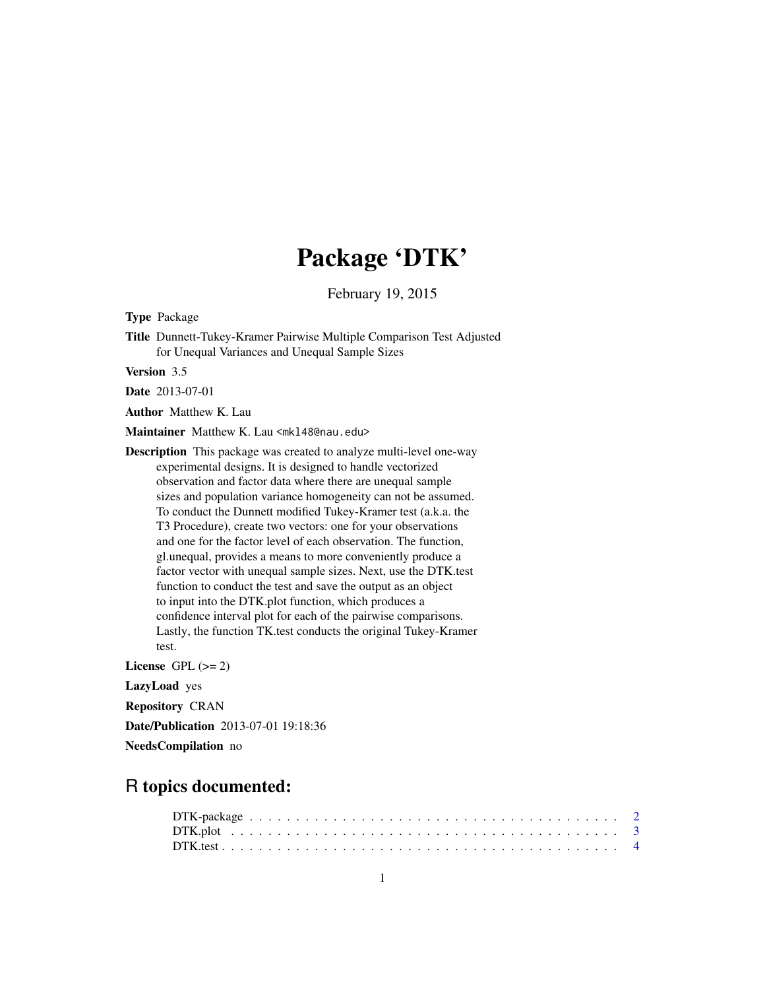## Package 'DTK'

February 19, 2015

<span id="page-0-0"></span>Type Package

Title Dunnett-Tukey-Kramer Pairwise Multiple Comparison Test Adjusted for Unequal Variances and Unequal Sample Sizes

Version 3.5

Date 2013-07-01

Author Matthew K. Lau

Maintainer Matthew K. Lau <mkl48@nau.edu>

Description This package was created to analyze multi-level one-way experimental designs. It is designed to handle vectorized observation and factor data where there are unequal sample sizes and population variance homogeneity can not be assumed. To conduct the Dunnett modified Tukey-Kramer test (a.k.a. the T3 Procedure), create two vectors: one for your observations and one for the factor level of each observation. The function, gl.unequal, provides a means to more conveniently produce a factor vector with unequal sample sizes. Next, use the DTK.test function to conduct the test and save the output as an object to input into the DTK.plot function, which produces a confidence interval plot for each of the pairwise comparisons. Lastly, the function TK.test conducts the original Tukey-Kramer test.

License GPL  $(>= 2)$ 

LazyLoad yes

Repository CRAN

Date/Publication 2013-07-01 19:18:36

NeedsCompilation no

### R topics documented: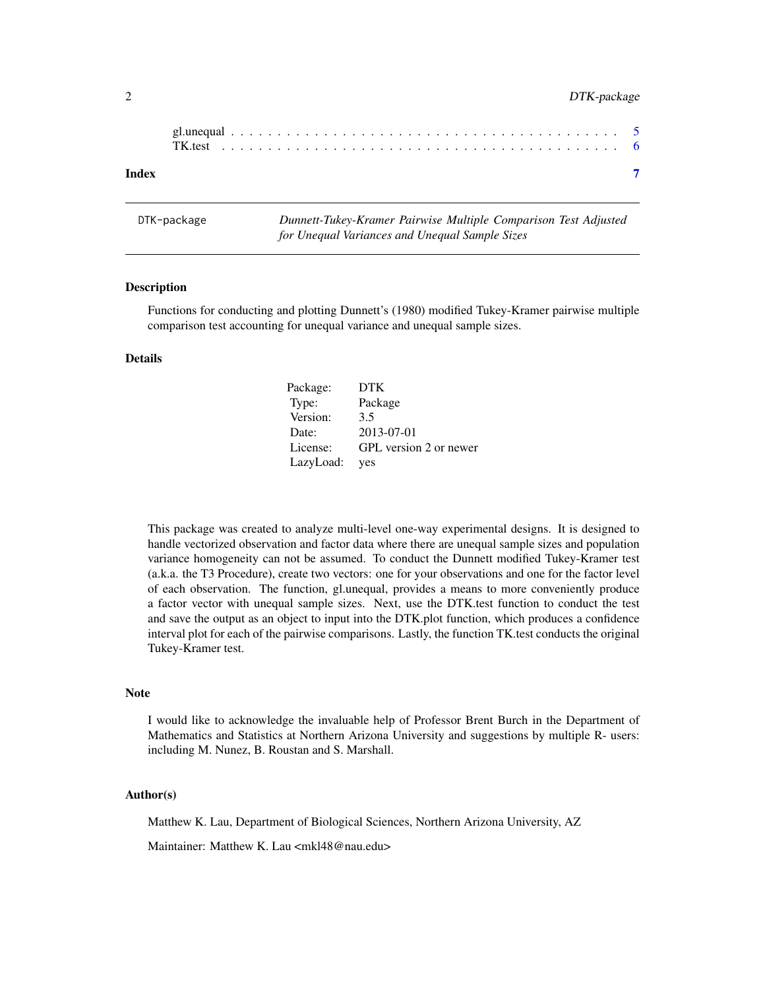#### <span id="page-1-0"></span>2 DTK-package

|       | TK test reconservative contains the contract of the contract of the contract of the contract of the contract of the contract of the contract of the contract of the contract of the contract of the contract of the contract o |  |  |  |  |  |  |  |  |  |  |  |  |  |  |  |  |  |  |  |  |  |  |
|-------|--------------------------------------------------------------------------------------------------------------------------------------------------------------------------------------------------------------------------------|--|--|--|--|--|--|--|--|--|--|--|--|--|--|--|--|--|--|--|--|--|--|
| Index |                                                                                                                                                                                                                                |  |  |  |  |  |  |  |  |  |  |  |  |  |  |  |  |  |  |  |  |  |  |

DTK-package *Dunnett-Tukey-Kramer Pairwise Multiple Comparison Test Adjusted for Unequal Variances and Unequal Sample Sizes*

#### Description

Functions for conducting and plotting Dunnett's (1980) modified Tukey-Kramer pairwise multiple comparison test accounting for unequal variance and unequal sample sizes.

#### Details

| Package:  | <b>DTK</b>             |
|-----------|------------------------|
| Type:     | Package                |
| Version:  | 3.5                    |
| Date:     | 2013-07-01             |
| License:  | GPL version 2 or newer |
| LazyLoad: | yes                    |

This package was created to analyze multi-level one-way experimental designs. It is designed to handle vectorized observation and factor data where there are unequal sample sizes and population variance homogeneity can not be assumed. To conduct the Dunnett modified Tukey-Kramer test (a.k.a. the T3 Procedure), create two vectors: one for your observations and one for the factor level of each observation. The function, gl.unequal, provides a means to more conveniently produce a factor vector with unequal sample sizes. Next, use the DTK.test function to conduct the test and save the output as an object to input into the DTK.plot function, which produces a confidence interval plot for each of the pairwise comparisons. Lastly, the function TK.test conducts the original Tukey-Kramer test.

#### **Note**

I would like to acknowledge the invaluable help of Professor Brent Burch in the Department of Mathematics and Statistics at Northern Arizona University and suggestions by multiple R- users: including M. Nunez, B. Roustan and S. Marshall.

#### Author(s)

Matthew K. Lau, Department of Biological Sciences, Northern Arizona University, AZ

Maintainer: Matthew K. Lau <mkl48@nau.edu>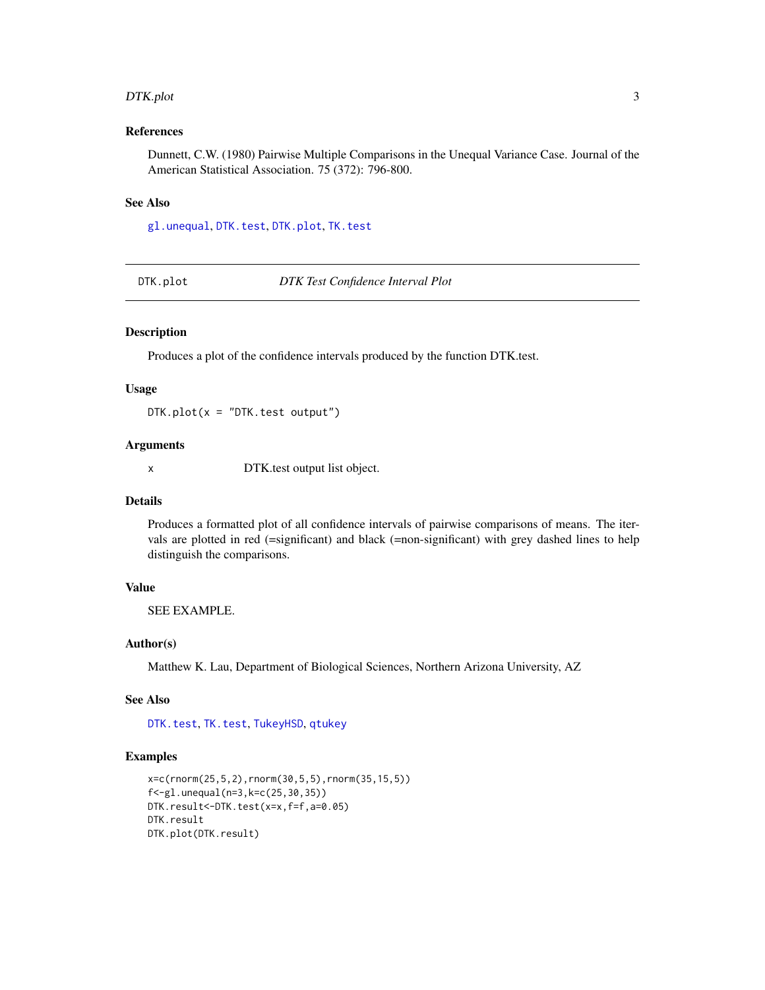#### <span id="page-2-0"></span>DTK.plot 3

#### References

Dunnett, C.W. (1980) Pairwise Multiple Comparisons in the Unequal Variance Case. Journal of the American Statistical Association. 75 (372): 796-800.

#### See Also

[gl.unequal](#page-4-1), [DTK.test](#page-3-1), [DTK.plot](#page-2-1), [TK.test](#page-5-1)

<span id="page-2-1"></span>DTK.plot *DTK Test Confidence Interval Plot*

#### Description

Produces a plot of the confidence intervals produced by the function DTK.test.

#### Usage

 $DTK.plot(x = "DTK.test output")$ 

#### Arguments

x DTK.test output list object.

#### Details

Produces a formatted plot of all confidence intervals of pairwise comparisons of means. The itervals are plotted in red (=significant) and black (=non-significant) with grey dashed lines to help distinguish the comparisons.

#### Value

SEE EXAMPLE.

#### Author(s)

Matthew K. Lau, Department of Biological Sciences, Northern Arizona University, AZ

#### See Also

[DTK.test](#page-3-1), [TK.test](#page-5-1), [TukeyHSD](#page-0-0), [qtukey](#page-0-0)

#### Examples

```
x=c(rnorm(25,5,2),rnorm(30,5,5),rnorm(35,15,5))
f<-gl.unequal(n=3,k=c(25,30,35))
DTK.result<-DTK.test(x=x,f=f,a=0.05)
DTK.result
DTK.plot(DTK.result)
```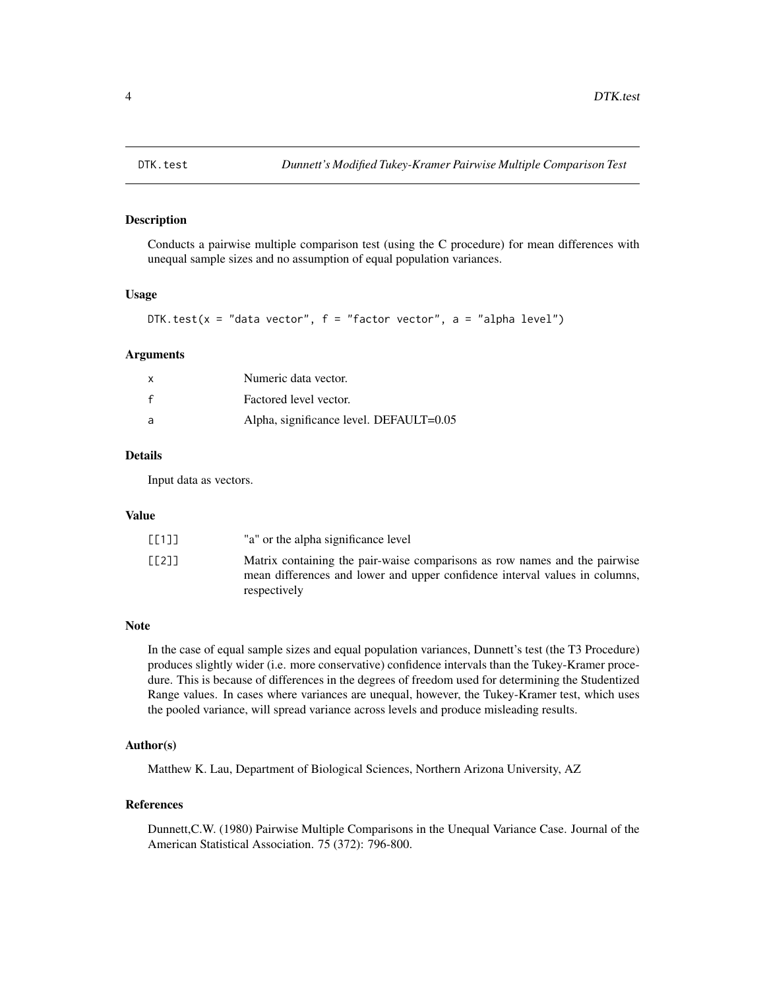#### Description

Conducts a pairwise multiple comparison test (using the C procedure) for mean differences with unequal sample sizes and no assumption of equal population variances.

#### Usage

```
DTK.test(x = "data vector", f = "factor vector", a = "alpha level")
```
#### Arguments

| $\mathbf{x}$ | Numeric data vector.                    |
|--------------|-----------------------------------------|
|              | Factored level vector.                  |
| a            | Alpha, significance level. DEFAULT=0.05 |

#### Details

Input data as vectors.

#### Value

| [[1]] | "a" or the alpha significance level"                                                                                                                                      |
|-------|---------------------------------------------------------------------------------------------------------------------------------------------------------------------------|
| [[2]] | Matrix containing the pair-waise comparisons as row names and the pairwise<br>mean differences and lower and upper confidence interval values in columns,<br>respectively |

#### Note

In the case of equal sample sizes and equal population variances, Dunnett's test (the T3 Procedure) produces slightly wider (i.e. more conservative) confidence intervals than the Tukey-Kramer procedure. This is because of differences in the degrees of freedom used for determining the Studentized Range values. In cases where variances are unequal, however, the Tukey-Kramer test, which uses the pooled variance, will spread variance across levels and produce misleading results.

#### Author(s)

Matthew K. Lau, Department of Biological Sciences, Northern Arizona University, AZ

#### References

Dunnett,C.W. (1980) Pairwise Multiple Comparisons in the Unequal Variance Case. Journal of the American Statistical Association. 75 (372): 796-800.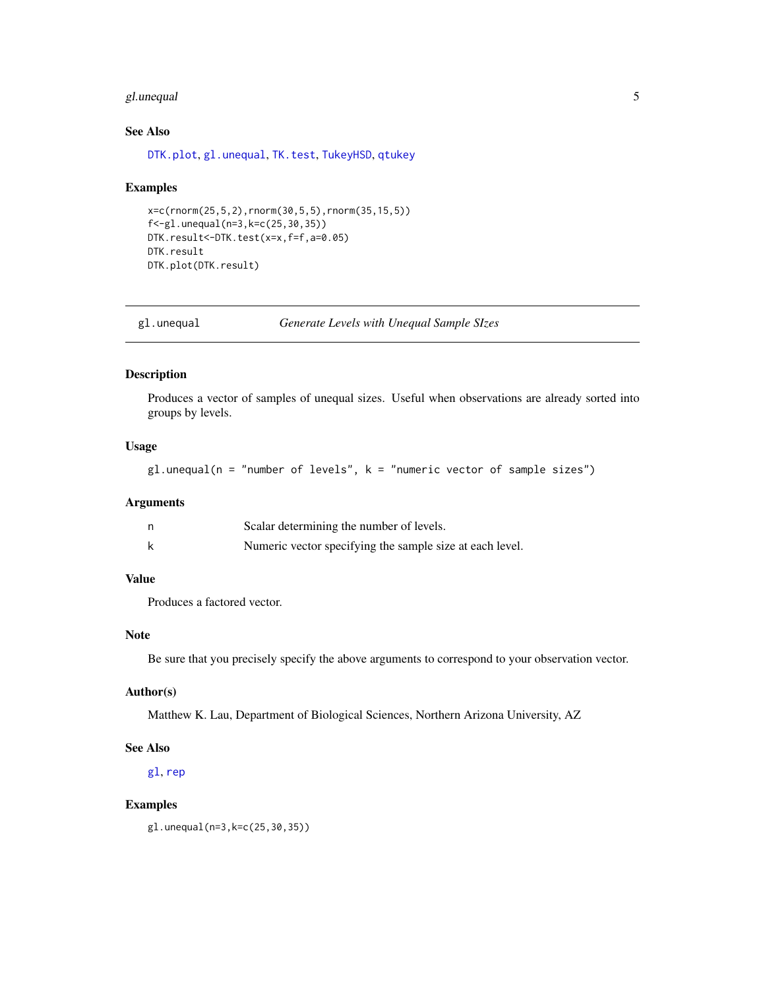#### <span id="page-4-0"></span>gl.unequal 5

#### See Also

[DTK.plot](#page-2-1), [gl.unequal](#page-4-1), [TK.test](#page-5-1), [TukeyHSD](#page-0-0), [qtukey](#page-0-0)

#### Examples

```
x=c(rnorm(25,5,2),rnorm(30,5,5),rnorm(35,15,5))
f < -g1.unequal(n=3, k=c(25, 30, 35))DTK.result<-DTK.test(x=x,f=f,a=0.05)
DTK.result
DTK.plot(DTK.result)
```
<span id="page-4-1"></span>

| gl.unequal | Generate Levels with Unequal Sample SIzes |  |
|------------|-------------------------------------------|--|
|            |                                           |  |

#### Description

Produces a vector of samples of unequal sizes. Useful when observations are already sorted into groups by levels.

#### Usage

 $gl.$ unequal(n = "number of levels",  $k =$  "numeric vector of sample sizes")

#### Arguments

| Scalar determining the number of levels.                 |
|----------------------------------------------------------|
| Numeric vector specifying the sample size at each level. |

#### Value

Produces a factored vector.

#### Note

Be sure that you precisely specify the above arguments to correspond to your observation vector.

#### Author(s)

Matthew K. Lau, Department of Biological Sciences, Northern Arizona University, AZ

#### See Also

[gl](#page-0-0), [rep](#page-0-0)

#### Examples

```
gl.unequal(n=3,k=c(25,30,35))
```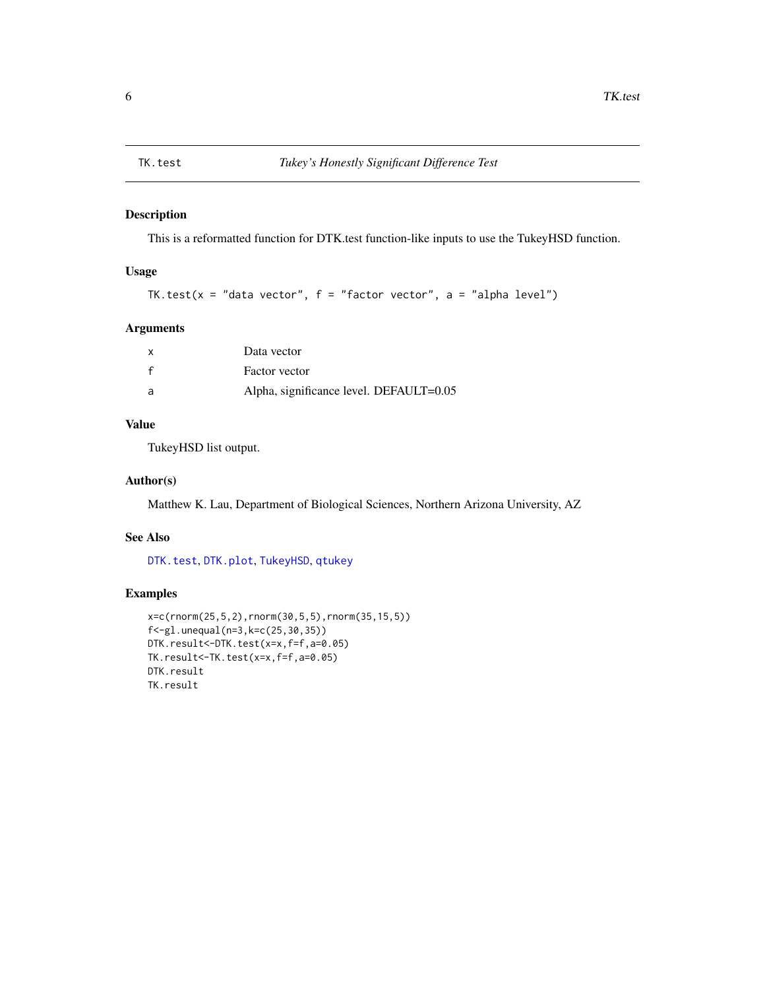<span id="page-5-1"></span><span id="page-5-0"></span>

#### Description

This is a reformatted function for DTK.test function-like inputs to use the TukeyHSD function.

#### Usage

```
TK.test(x = "data vector", f = "factor vector", a = "alpha level")
```
#### Arguments

| $\boldsymbol{\mathsf{x}}$ | Data vector                                |
|---------------------------|--------------------------------------------|
| $\mathbf{f}$              | <b>Factor</b> vector                       |
| a                         | Alpha, significance level. DEFAULT= $0.05$ |

#### Value

TukeyHSD list output.

#### Author(s)

Matthew K. Lau, Department of Biological Sciences, Northern Arizona University, AZ

#### See Also

[DTK.test](#page-3-1), [DTK.plot](#page-2-1), [TukeyHSD](#page-0-0), [qtukey](#page-0-0)

#### Examples

```
x=c(rnorm(25,5,2),rnorm(30,5,5),rnorm(35,15,5))
f<-gl.unequal(n=3,k=c(25,30,35))
DTK.result<-DTK.test(x=x,f=f,a=0.05)
TK.result<-TK.test(x=x,f=f,a=0.05)
DTK.result
TK.result
```